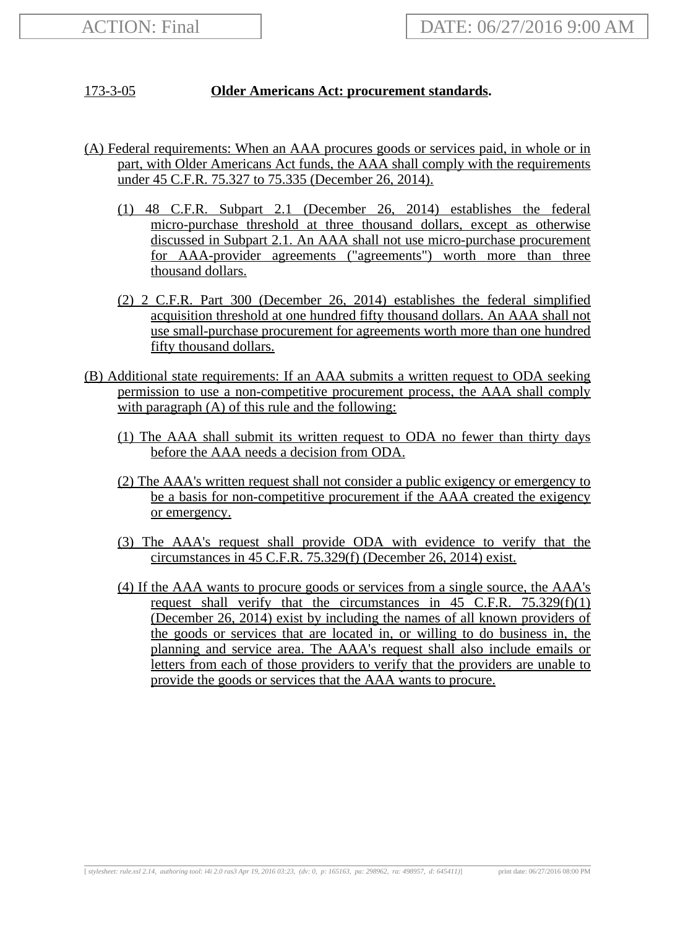## 173-3-05 **Older Americans Act: procurement standards.**

- (A) Federal requirements: When an AAA procures goods or services paid, in whole or in part, with Older Americans Act funds, the AAA shall comply with the requirements under 45 C.F.R. 75.327 to 75.335 (December 26, 2014).
	- (1) 48 C.F.R. Subpart 2.1 (December 26, 2014) establishes the federal micro-purchase threshold at three thousand dollars, except as otherwise discussed in Subpart 2.1. An AAA shall not use micro-purchase procurement for AAA-provider agreements ("agreements") worth more than three thousand dollars.
	- (2) 2 C.F.R. Part 300 (December 26, 2014) establishes the federal simplified acquisition threshold at one hundred fifty thousand dollars. An AAA shall not use small-purchase procurement for agreements worth more than one hundred fifty thousand dollars.
- (B) Additional state requirements: If an AAA submits a written request to ODA seeking permission to use a non-competitive procurement process, the AAA shall comply with paragraph (A) of this rule and the following:
	- (1) The AAA shall submit its written request to ODA no fewer than thirty days before the AAA needs a decision from ODA.
	- (2) The AAA's written request shall not consider a public exigency or emergency to be a basis for non-competitive procurement if the AAA created the exigency or emergency.
	- (3) The AAA's request shall provide ODA with evidence to verify that the circumstances in 45 C.F.R. 75.329(f) (December 26, 2014) exist.
	- (4) If the AAA wants to procure goods or services from a single source, the AAA's request shall verify that the circumstances in  $45$  C.F.R.  $75.329(f)(1)$ (December 26, 2014) exist by including the names of all known providers of the goods or services that are located in, or willing to do business in, the planning and service area. The AAA's request shall also include emails or letters from each of those providers to verify that the providers are unable to provide the goods or services that the AAA wants to procure.